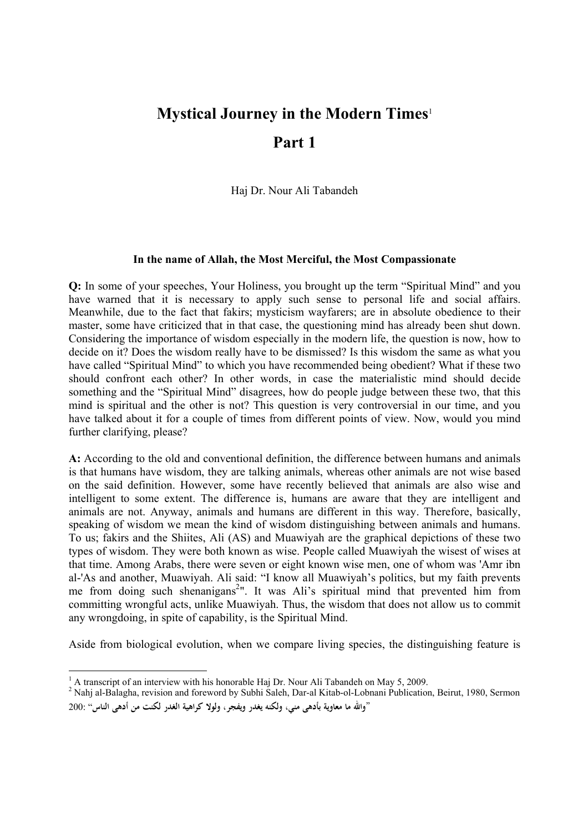## **Mystical Journey in the Modern Times**<sup>1</sup> **Part 1**

Haj Dr. Nour Ali Tabandeh

## **In the name of Allah, the Most Merciful, the Most Compassionate**

**Q:** In some of your speeches, Your Holiness, you brought up the term "Spiritual Mind" and you have warned that it is necessary to apply such sense to personal life and social affairs. Meanwhile, due to the fact that fakirs; mysticism wayfarers; are in absolute obedience to their master, some have criticized that in that case, the questioning mind has already been shut down. Considering the importance of wisdom especially in the modern life, the question is now, how to decide on it? Does the wisdom really have to be dismissed? Is this wisdom the same as what you have called "Spiritual Mind" to which you have recommended being obedient? What if these two should confront each other? In other words, in case the materialistic mind should decide something and the "Spiritual Mind" disagrees, how do people judge between these two, that this mind is spiritual and the other is not? This question is very controversial in our time, and you have talked about it for a couple of times from different points of view. Now, would you mind further clarifying, please?

**A:** According to the old and conventional definition, the difference between humans and animals is that humans have wisdom, they are talking animals, whereas other animals are not wise based on the said definition. However, some have recently believed that animals are also wise and intelligent to some extent. The difference is, humans are aware that they are intelligent and animals are not. Anyway, animals and humans are different in this way. Therefore, basically, speaking of wisdom we mean the kind of wisdom distinguishing between animals and humans. To us; fakirs and the Shiites, Ali (AS) and Muawiyah are the graphical depictions of these two types of wisdom. They were both known as wise. People called Muawiyah the wisest of wises at that time. Among Arabs, there were seven or eight known wise men, one of whom was 'Amr ibn al-'As and another, Muawiyah. Ali said: "I know all Muawiyah's politics, but my faith prevents me from doing such shenanigans<sup>2</sup>". It was Ali's spiritual mind that prevented him from committing wrongful acts, unlike Muawiyah. Thus, the wisdom that does not allow us to commit any wrongdoing, in spite of capability, is the Spiritual Mind.

Aside from biological evolution, when we compare living species, the distinguishing feature is

 $1$  A transcript of an interview with his honorable Haj Dr. Nour Ali Tabandeh on May 5, 2009.

<sup>&</sup>lt;sup>2</sup> Nahj al-Balagha, revision and foreword by Subhi Saleh, Dar-al Kitab-ol-Lobnani Publication, Beirut, 1980, Sermon "**واالله ما معاوية بأدهى مني، ولكنه يغدر ويفجر، ولولا كراهية الغدر لكنت من أدهى الناس**" 200: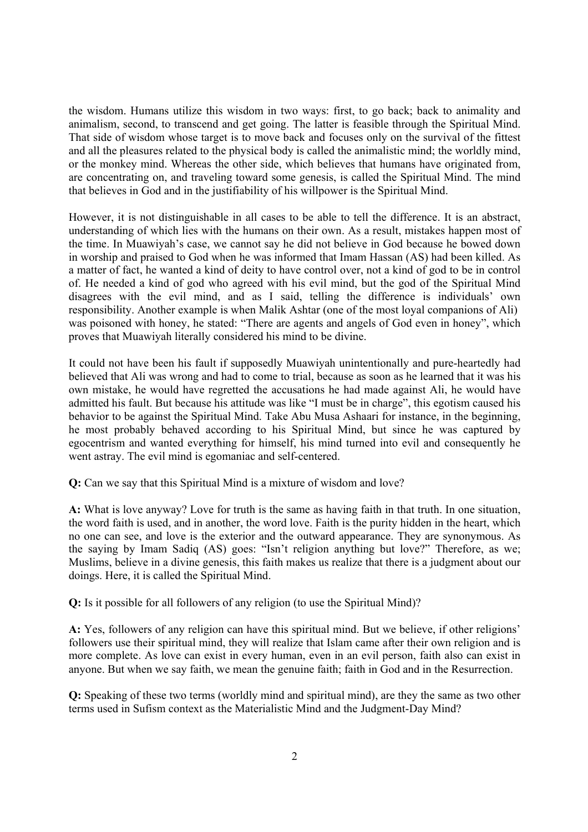the wisdom. Humans utilize this wisdom in two ways: first, to go back; back to animality and animalism, second, to transcend and get going. The latter is feasible through the Spiritual Mind. That side of wisdom whose target is to move back and focuses only on the survival of the fittest and all the pleasures related to the physical body is called the animalistic mind; the worldly mind, or the monkey mind. Whereas the other side, which believes that humans have originated from, are concentrating on, and traveling toward some genesis, is called the Spiritual Mind. The mind that believes in God and in the justifiability of his willpower is the Spiritual Mind.

However, it is not distinguishable in all cases to be able to tell the difference. It is an abstract, understanding of which lies with the humans on their own. As a result, mistakes happen most of the time. In Muawiyah's case, we cannot say he did not believe in God because he bowed down in worship and praised to God when he was informed that Imam Hassan (AS) had been killed. As a matter of fact, he wanted a kind of deity to have control over, not a kind of god to be in control of. He needed a kind of god who agreed with his evil mind, but the god of the Spiritual Mind disagrees with the evil mind, and as I said, telling the difference is individuals' own responsibility. Another example is when Malik Ashtar (one of the most loyal companions of Ali) was poisoned with honey, he stated: "There are agents and angels of God even in honey", which proves that Muawiyah literally considered his mind to be divine.

It could not have been his fault if supposedly Muawiyah unintentionally and pure-heartedly had believed that Ali was wrong and had to come to trial, because as soon as he learned that it was his own mistake, he would have regretted the accusations he had made against Ali, he would have admitted his fault. But because his attitude was like "I must be in charge", this egotism caused his behavior to be against the Spiritual Mind. Take Abu Musa Ashaari for instance, in the beginning, he most probably behaved according to his Spiritual Mind, but since he was captured by egocentrism and wanted everything for himself, his mind turned into evil and consequently he went astray. The evil mind is egomaniac and self-centered.

**Q:** Can we say that this Spiritual Mind is a mixture of wisdom and love?

**A:** What is love anyway? Love for truth is the same as having faith in that truth. In one situation, the word faith is used, and in another, the word love. Faith is the purity hidden in the heart, which no one can see, and love is the exterior and the outward appearance. They are synonymous. As the saying by Imam Sadiq (AS) goes: "Isn't religion anything but love?" Therefore, as we; Muslims, believe in a divine genesis, this faith makes us realize that there is a judgment about our doings. Here, it is called the Spiritual Mind.

**Q:** Is it possible for all followers of any religion (to use the Spiritual Mind)?

**A:** Yes, followers of any religion can have this spiritual mind. But we believe, if other religions' followers use their spiritual mind, they will realize that Islam came after their own religion and is more complete. As love can exist in every human, even in an evil person, faith also can exist in anyone. But when we say faith, we mean the genuine faith; faith in God and in the Resurrection.

**Q:** Speaking of these two terms (worldly mind and spiritual mind), are they the same as two other terms used in Sufism context as the Materialistic Mind and the Judgment-Day Mind?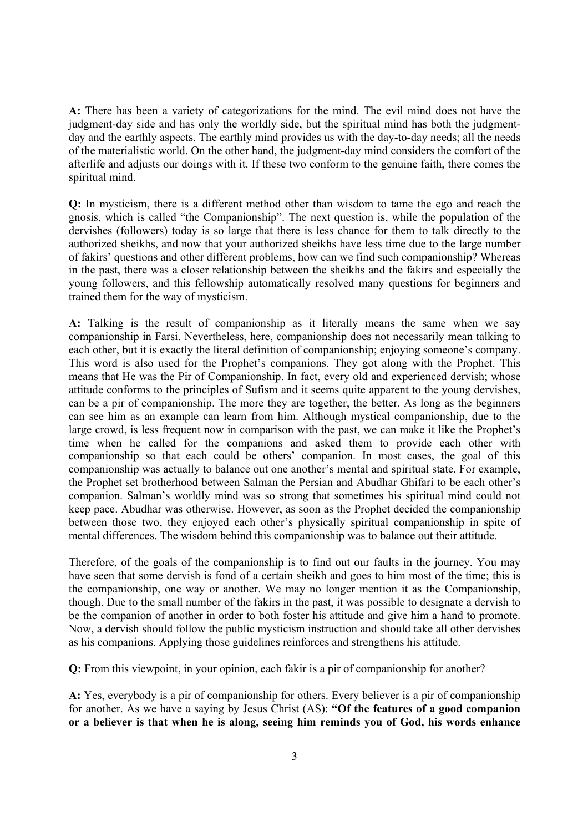**A:** There has been a variety of categorizations for the mind. The evil mind does not have the judgment-day side and has only the worldly side, but the spiritual mind has both the judgmentday and the earthly aspects. The earthly mind provides us with the day-to-day needs; all the needs of the materialistic world. On the other hand, the judgment-day mind considers the comfort of the afterlife and adjusts our doings with it. If these two conform to the genuine faith, there comes the spiritual mind.

**Q:** In mysticism, there is a different method other than wisdom to tame the ego and reach the gnosis, which is called "the Companionship". The next question is, while the population of the dervishes (followers) today is so large that there is less chance for them to talk directly to the authorized sheikhs, and now that your authorized sheikhs have less time due to the large number of fakirs' questions and other different problems, how can we find such companionship? Whereas in the past, there was a closer relationship between the sheikhs and the fakirs and especially the young followers, and this fellowship automatically resolved many questions for beginners and trained them for the way of mysticism.

**A:** Talking is the result of companionship as it literally means the same when we say companionship in Farsi. Nevertheless, here, companionship does not necessarily mean talking to each other, but it is exactly the literal definition of companionship; enjoying someone's company. This word is also used for the Prophet's companions. They got along with the Prophet. This means that He was the Pir of Companionship. In fact, every old and experienced dervish; whose attitude conforms to the principles of Sufism and it seems quite apparent to the young dervishes, can be a pir of companionship. The more they are together, the better. As long as the beginners can see him as an example can learn from him. Although mystical companionship, due to the large crowd, is less frequent now in comparison with the past, we can make it like the Prophet's time when he called for the companions and asked them to provide each other with companionship so that each could be others' companion. In most cases, the goal of this companionship was actually to balance out one another's mental and spiritual state. For example, the Prophet set brotherhood between Salman the Persian and Abudhar Ghifari to be each other's companion. Salman's worldly mind was so strong that sometimes his spiritual mind could not keep pace. Abudhar was otherwise. However, as soon as the Prophet decided the companionship between those two, they enjoyed each other's physically spiritual companionship in spite of mental differences. The wisdom behind this companionship was to balance out their attitude.

Therefore, of the goals of the companionship is to find out our faults in the journey. You may have seen that some dervish is fond of a certain sheikh and goes to him most of the time; this is the companionship, one way or another. We may no longer mention it as the Companionship, though. Due to the small number of the fakirs in the past, it was possible to designate a dervish to be the companion of another in order to both foster his attitude and give him a hand to promote. Now, a dervish should follow the public mysticism instruction and should take all other dervishes as his companions. Applying those guidelines reinforces and strengthens his attitude.

**Q:** From this viewpoint, in your opinion, each fakir is a pir of companionship for another?

**A:** Yes, everybody is a pir of companionship for others. Every believer is a pir of companionship for another. As we have a saying by Jesus Christ (AS): **"Of the features of a good companion or a believer is that when he is along, seeing him reminds you of God, his words enhance**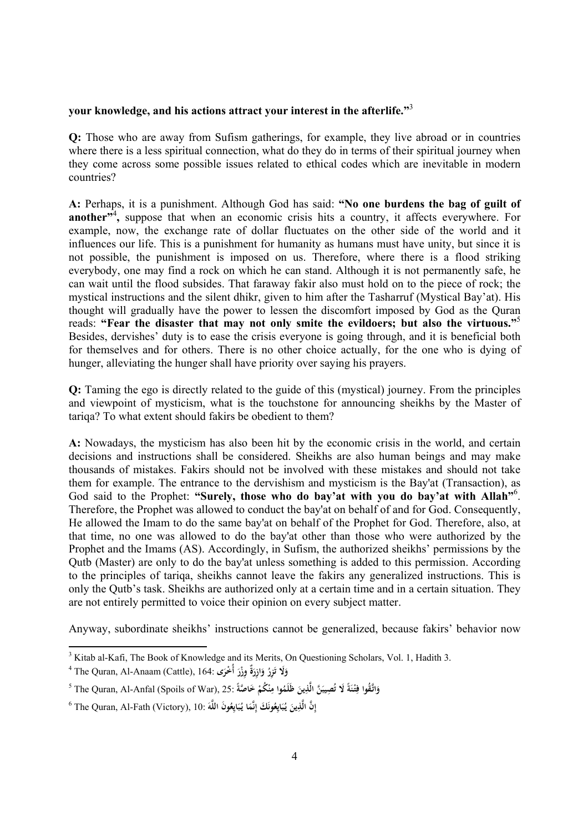## **your knowledge, and his actions attract your interest in the afterlife."**<sup>3</sup>

**Q:** Those who are away from Sufism gatherings, for example, they live abroad or in countries where there is a less spiritual connection, what do they do in terms of their spiritual journey when they come across some possible issues related to ethical codes which are inevitable in modern countries?

**A:** Perhaps, it is a punishment. Although God has said: **"No one burdens the bag of guilt of another<sup>34</sup>**, suppose that when an economic crisis hits a country, it affects everywhere. For example, now, the exchange rate of dollar fluctuates on the other side of the world and it influences our life. This is a punishment for humanity as humans must have unity, but since it is not possible, the punishment is imposed on us. Therefore, where there is a flood striking everybody, one may find a rock on which he can stand. Although it is not permanently safe, he can wait until the flood subsides. That faraway fakir also must hold on to the piece of rock; the mystical instructions and the silent dhikr, given to him after the Tasharruf (Mystical Bay'at). His thought will gradually have the power to lessen the discomfort imposed by God as the Quran reads: **"Fear the disaster that may not only smite the evildoers; but also the virtuous."**<sup>5</sup> Besides, dervishes' duty is to ease the crisis everyone is going through, and it is beneficial both for themselves and for others. There is no other choice actually, for the one who is dying of hunger, alleviating the hunger shall have priority over saying his prayers.

**Q:** Taming the ego is directly related to the guide of this (mystical) journey. From the principles and viewpoint of mysticism, what is the touchstone for announcing sheikhs by the Master of tariqa? To what extent should fakirs be obedient to them?

**A:** Nowadays, the mysticism has also been hit by the economic crisis in the world, and certain decisions and instructions shall be considered. Sheikhs are also human beings and may make thousands of mistakes. Fakirs should not be involved with these mistakes and should not take them for example. The entrance to the dervishism and mysticism is the Bay'at (Transaction), as God said to the Prophet: **"Surely, those who do bay'at with you do bay'at with Allah"**<sup>6</sup> . Therefore, the Prophet was allowed to conduct the bay'at on behalf of and for God. Consequently, He allowed the Imam to do the same bay'at on behalf of the Prophet for God. Therefore, also, at that time, no one was allowed to do the bay'at other than those who were authorized by the Prophet and the Imams (AS). Accordingly, in Sufism, the authorized sheikhs' permissions by the Qutb (Master) are only to do the bay'at unless something is added to this permission. According to the principles of tariqa, sheikhs cannot leave the fakirs any generalized instructions. This is only the Qutb's task. Sheikhs are authorized only at a certain time and in a certain situation. They are not entirely permitted to voice their opinion on every subject matter.

Anyway, subordinate sheikhs' instructions cannot be generalized, because fakirs' behavior now

<sup>&</sup>lt;sup>3</sup> Kitab al-Kafi, The Book of Knowledge and its Merits, On Questioning Scholars, Vol. 1, Hadith 3.

<sup>4</sup> The Quran, Al-Anaam (Cattle), 164: **لاَ و ُ ِزر ت ةٌ َ ِ ازر و ِوز ى ْر ْخر أُ َ َ َ َ َ**

وَاتَّقُوا فِتْنَةً لَا تُصِيبَنَّ الَّذِينَ ظَلَمُوا مِنْكُمْ خَاصَّةً :The Quran, Al-Anfal (Spoils of War), 25 **َ ْ َ ت َ ِ**

 $^6$  The Quran, Al-Fath (Victory), 10: إِنَّ الَّذِينَ يُبَايِعُونَكَ إِنَّمَا يُبَايِعُونَ اللَّهَ **إ َ ِ َ َ ِ ِ َ َ**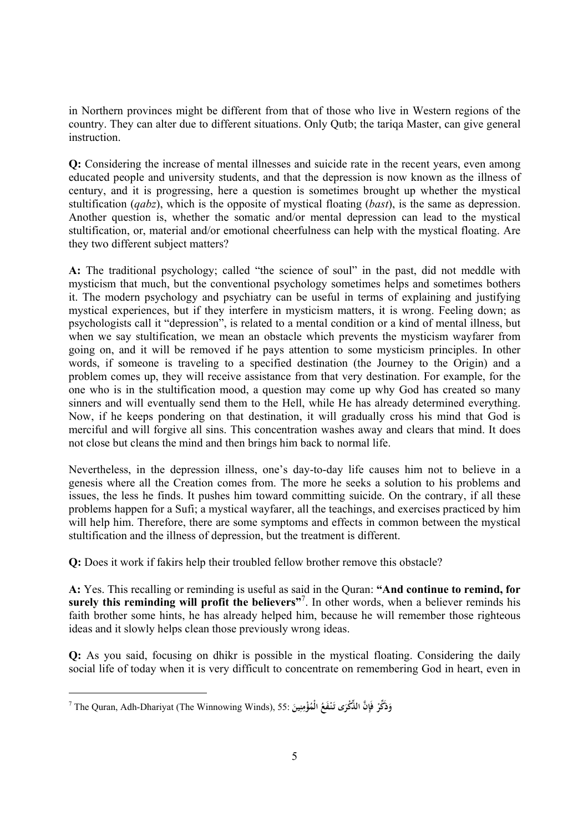in Northern provinces might be different from that of those who live in Western regions of the country. They can alter due to different situations. Only Qutb; the tariqa Master, can give general instruction.

**Q:** Considering the increase of mental illnesses and suicide rate in the recent years, even among educated people and university students, and that the depression is now known as the illness of century, and it is progressing, here a question is sometimes brought up whether the mystical stultification (*qabz*), which is the opposite of mystical floating (*bast*), is the same as depression. Another question is, whether the somatic and/or mental depression can lead to the mystical stultification, or, material and/or emotional cheerfulness can help with the mystical floating. Are they two different subject matters?

**A:** The traditional psychology; called "the science of soul" in the past, did not meddle with mysticism that much, but the conventional psychology sometimes helps and sometimes bothers it. The modern psychology and psychiatry can be useful in terms of explaining and justifying mystical experiences, but if they interfere in mysticism matters, it is wrong. Feeling down; as psychologists call it "depression", is related to a mental condition or a kind of mental illness, but when we say stultification, we mean an obstacle which prevents the mysticism wayfarer from going on, and it will be removed if he pays attention to some mysticism principles. In other words, if someone is traveling to a specified destination (the Journey to the Origin) and a problem comes up, they will receive assistance from that very destination. For example, for the one who is in the stultification mood, a question may come up why God has created so many sinners and will eventually send them to the Hell, while He has already determined everything. Now, if he keeps pondering on that destination, it will gradually cross his mind that God is merciful and will forgive all sins. This concentration washes away and clears that mind. It does not close but cleans the mind and then brings him back to normal life.

Nevertheless, in the depression illness, one's day-to-day life causes him not to believe in a genesis where all the Creation comes from. The more he seeks a solution to his problems and issues, the less he finds. It pushes him toward committing suicide. On the contrary, if all these problems happen for a Sufi; a mystical wayfarer, all the teachings, and exercises practiced by him will help him. Therefore, there are some symptoms and effects in common between the mystical stultification and the illness of depression, but the treatment is different.

**Q:** Does it work if fakirs help their troubled fellow brother remove this obstacle?

**A:** Yes. This recalling or reminding is useful as said in the Quran: **"And continue to remind, for surely this reminding will profit the believers"**<sup>7</sup> . In other words, when a believer reminds his faith brother some hints, he has already helped him, because he will remember those righteous ideas and it slowly helps clean those previously wrong ideas.

**Q:** As you said, focusing on dhikr is possible in the mystical floating. Considering the daily social life of today when it is very difficult to concentrate on remembering God in heart, even in

 $^7$  The Quran, Adh-Dhariyat (The Winnowing Winds), 55: وَذَكَّرْ فَإِنَّ الذُّكْرَى تَنْفَعُ الْمُؤْمِنِينَ $\,$  The Quran, Adh-Dhariyat (The Winnowing Winds), 55: وَ **ْ َ ِ َ َ َ ِ**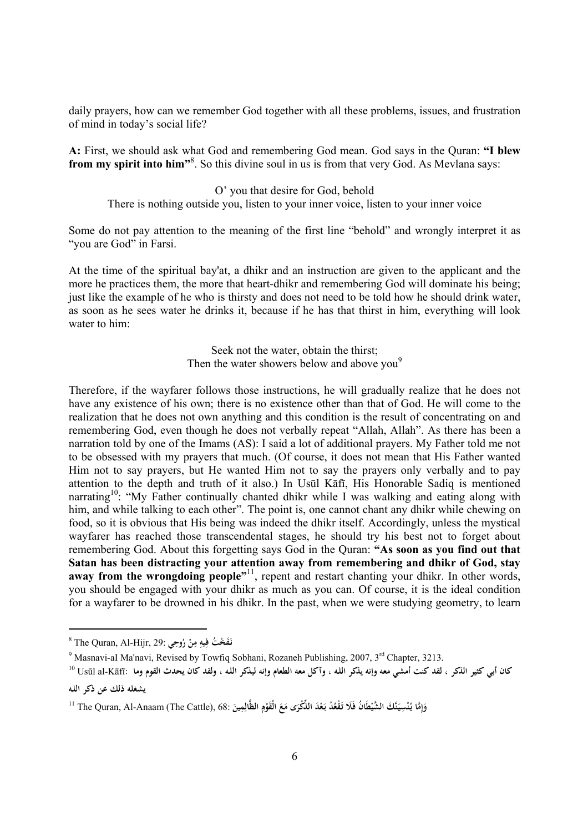daily prayers, how can we remember God together with all these problems, issues, and frustration of mind in today's social life?

**A:** First, we should ask what God and remembering God mean. God says in the Quran: **"I blew from my spirit into him"**<sup>8</sup> . So this divine soul in us is from that very God. As Mevlana says:

O' you that desire for God, behold

There is nothing outside you, listen to your inner voice, listen to your inner voice

Some do not pay attention to the meaning of the first line "behold" and wrongly interpret it as "you are God" in Farsi.

At the time of the spiritual bay'at, a dhikr and an instruction are given to the applicant and the more he practices them, the more that heart-dhikr and remembering God will dominate his being; just like the example of he who is thirsty and does not need to be told how he should drink water, as soon as he sees water he drinks it, because if he has that thirst in him, everything will look water to him:

> Seek not the water, obtain the thirst; Then the water showers below and above you<sup>9</sup>

Therefore, if the wayfarer follows those instructions, he will gradually realize that he does not have any existence of his own; there is no existence other than that of God. He will come to the realization that he does not own anything and this condition is the result of concentrating on and remembering God, even though he does not verbally repeat "Allah, Allah". As there has been a narration told by one of the Imams (AS): I said a lot of additional prayers. My Father told me not to be obsessed with my prayers that much. (Of course, it does not mean that His Father wanted Him not to say prayers, but He wanted Him not to say the prayers only verbally and to pay attention to the depth and truth of it also.) In Usūl Kāfī, His Honorable Sadiq is mentioned narrating<sup>10</sup>: "My Father continually chanted dhikr while I was walking and eating along with him, and while talking to each other". The point is, one cannot chant any dhikr while chewing on food, so it is obvious that His being was indeed the dhikr itself. Accordingly, unless the mystical wayfarer has reached those transcendental stages, he should try his best not to forget about remembering God. About this forgetting says God in the Quran: **"As soon as you find out that Satan has been distracting your attention away from remembering and dhikr of God, stay**  away from the wrongdoing people<sup>"</sup><sup>11</sup>, repent and restart chanting your dhikr. In other words, you should be engaged with your dhikr as much as you can. Of course, it is the ideal condition for a wayfarer to be drowned in his dhikr. In the past, when we were studying geometry, to learn

<sup>8</sup> The Quran, Al-Hijr, 29: **تُ خْ ََف ِ نـ ِيه ف ن م ي ِ وحِ ُ ر ْ**

<sup>&</sup>lt;sup>9</sup> Masnavi-aI Ma'navi, Revised by Towfiq Sobhani, Rozaneh Publishing, 2007, 3<sup>rd</sup> Chapter, 3213.

كان أبي كثير الذكر ، لقد كنت أمشى معه وإنه يذكر الله ، وآكل معه الطعام وإنه ليذكر الله ، ولقد كان يحدث القوم وما :Usūl al-Kāfī **يشغله ذلك عن ذكر اللـه**

وَإِمَّا يُنْسِيَنَّكَ الشَّيْطَانُ فَلَا تَقْعُدْ بَعْدَ الذِّكْرَى مَعَ الْقَوْمِ الظَّالِمِينَ :68. The Quran, Al-Anaam (The Cattle), 68 ا **ِ إ َ َ ْ َ َ َ ِ ْ َ ِ**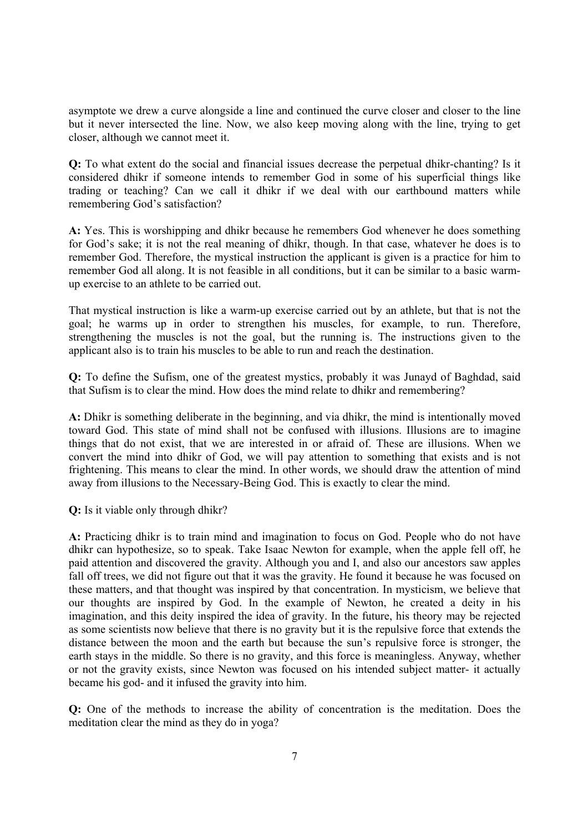asymptote we drew a curve alongside a line and continued the curve closer and closer to the line but it never intersected the line. Now, we also keep moving along with the line, trying to get closer, although we cannot meet it.

**Q:** To what extent do the social and financial issues decrease the perpetual dhikr-chanting? Is it considered dhikr if someone intends to remember God in some of his superficial things like trading or teaching? Can we call it dhikr if we deal with our earthbound matters while remembering God's satisfaction?

**A:** Yes. This is worshipping and dhikr because he remembers God whenever he does something for God's sake; it is not the real meaning of dhikr, though. In that case, whatever he does is to remember God. Therefore, the mystical instruction the applicant is given is a practice for him to remember God all along. It is not feasible in all conditions, but it can be similar to a basic warmup exercise to an athlete to be carried out.

That mystical instruction is like a warm-up exercise carried out by an athlete, but that is not the goal; he warms up in order to strengthen his muscles, for example, to run. Therefore, strengthening the muscles is not the goal, but the running is. The instructions given to the applicant also is to train his muscles to be able to run and reach the destination.

**Q:** To define the Sufism, one of the greatest mystics, probably it was Junayd of Baghdad, said that Sufism is to clear the mind. How does the mind relate to dhikr and remembering?

**A:** Dhikr is something deliberate in the beginning, and via dhikr, the mind is intentionally moved toward God. This state of mind shall not be confused with illusions. Illusions are to imagine things that do not exist, that we are interested in or afraid of. These are illusions. When we convert the mind into dhikr of God, we will pay attention to something that exists and is not frightening. This means to clear the mind. In other words, we should draw the attention of mind away from illusions to the Necessary-Being God. This is exactly to clear the mind.

**Q:** Is it viable only through dhikr?

**A:** Practicing dhikr is to train mind and imagination to focus on God. People who do not have dhikr can hypothesize, so to speak. Take Isaac Newton for example, when the apple fell off, he paid attention and discovered the gravity. Although you and I, and also our ancestors saw apples fall off trees, we did not figure out that it was the gravity. He found it because he was focused on these matters, and that thought was inspired by that concentration. In mysticism, we believe that our thoughts are inspired by God. In the example of Newton, he created a deity in his imagination, and this deity inspired the idea of gravity. In the future, his theory may be rejected as some scientists now believe that there is no gravity but it is the repulsive force that extends the distance between the moon and the earth but because the sun's repulsive force is stronger, the earth stays in the middle. So there is no gravity, and this force is meaningless. Anyway, whether or not the gravity exists, since Newton was focused on his intended subject matter- it actually became his god- and it infused the gravity into him.

**Q:** One of the methods to increase the ability of concentration is the meditation. Does the meditation clear the mind as they do in yoga?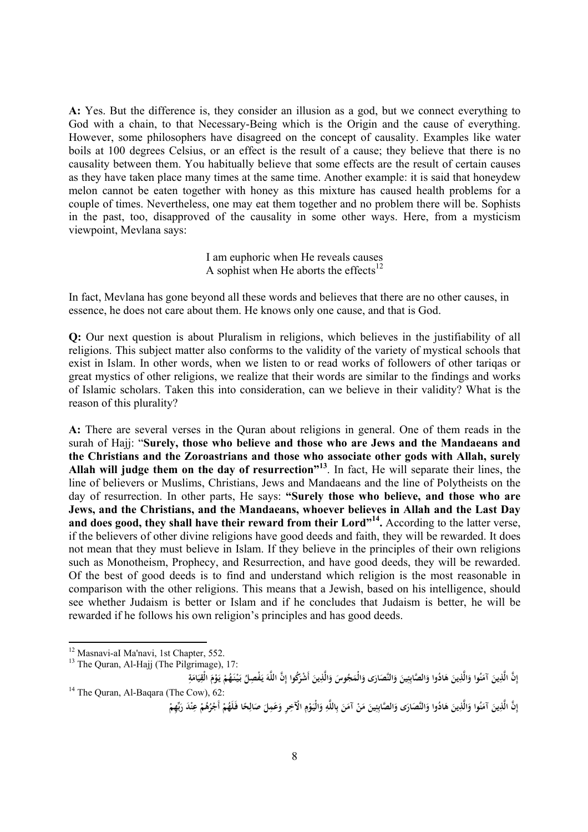**A:** Yes. But the difference is, they consider an illusion as a god, but we connect everything to God with a chain, to that Necessary-Being which is the Origin and the cause of everything. However, some philosophers have disagreed on the concept of causality. Examples like water boils at 100 degrees Celsius, or an effect is the result of a cause; they believe that there is no causality between them. You habitually believe that some effects are the result of certain causes as they have taken place many times at the same time. Another example: it is said that honeydew melon cannot be eaten together with honey as this mixture has caused health problems for a couple of times. Nevertheless, one may eat them together and no problem there will be. Sophists in the past, too, disapproved of the causality in some other ways. Here, from a mysticism viewpoint, Mevlana says:

> I am euphoric when He reveals causes A sophist when He aborts the effects<sup>12</sup>

In fact, Mevlana has gone beyond all these words and believes that there are no other causes, in essence, he does not care about them. He knows only one cause, and that is God.

**Q:** Our next question is about Pluralism in religions, which believes in the justifiability of all religions. This subject matter also conforms to the validity of the variety of mystical schools that exist in Islam. In other words, when we listen to or read works of followers of other tariqas or great mystics of other religions, we realize that their words are similar to the findings and works of Islamic scholars. Taken this into consideration, can we believe in their validity? What is the reason of this plurality?

**A:** There are several verses in the Quran about religions in general. One of them reads in the surah of Hajj: "**Surely, those who believe and those who are Jews and the Mandaeans and the Christians and the Zoroastrians and those who associate other gods with Allah, surely Allah will judge them on the day of resurrection"<sup>13</sup>** . In fact, He will separate their lines, the line of believers or Muslims, Christians, Jews and Mandaeans and the line of Polytheists on the day of resurrection. In other parts, He says: **"Surely those who believe, and those who are Jews, and the Christians, and the Mandaeans, whoever believes in Allah and the Last Day and does good, they shall have their reward from their Lord"<sup>14</sup> .** According to the latter verse, if the believers of other divine religions have good deeds and faith, they will be rewarded. It does not mean that they must believe in Islam. If they believe in the principles of their own religions such as Monotheism, Prophecy, and Resurrection, and have good deeds, they will be rewarded. Of the best of good deeds is to find and understand which religion is the most reasonable in comparison with the other religions. This means that a Jewish, based on his intelligence, should see whether Judaism is better or Islam and if he concludes that Judaism is better, he will be rewarded if he follows his own religion's principles and has good deeds.

<sup>&</sup>lt;sup>12</sup> Masnavi-aI Ma'navi, 1st Chapter, 552.

<sup>&</sup>lt;sup>13</sup> The Quran, Al-Hajj (The Pilgrimage), 17:

إِنَّ الَّذِينَ آمَنُوا وَالَّذِينَ هَادُوا وَالصَّابِئِينَ وَالنَّصَارَى وَالْمَجُوسَ وَالَّذِينَ أَشْرَكُوا إِنَّ اللَّهَ يَفْصِلُ بَيْنَهُمْ يَوْمَ الْقِيَامَةِ **إ َ َ َ َ َ َ ِ َ َ َ َ َ َ َ َ ِ إ َ َ ْ ْ َ َ ْ َ َ َ ِ** <sup>14</sup> The Quran, Al-Baqara (The Cow), 62:

إِنَّ الَّذِينَ آمَنُوا وَالَّذِينَ هَادُوا وَالنَّصَارَى وَالصَّابِئِينَ مَنْ آمَنَ بِاللَّهِ وَالْيَوْمِ الْآخِرِ وَعَمِلَ صَالِحًا فَلَهُمْ أَجْرُهُمْ عِنْدَ رَبِّهِمْ **إ َ َ َ َ َ َ َ ِ َ ْ َ ب ِ ْ َ َ َ ً ِ ْ ْ ِ ْ َ**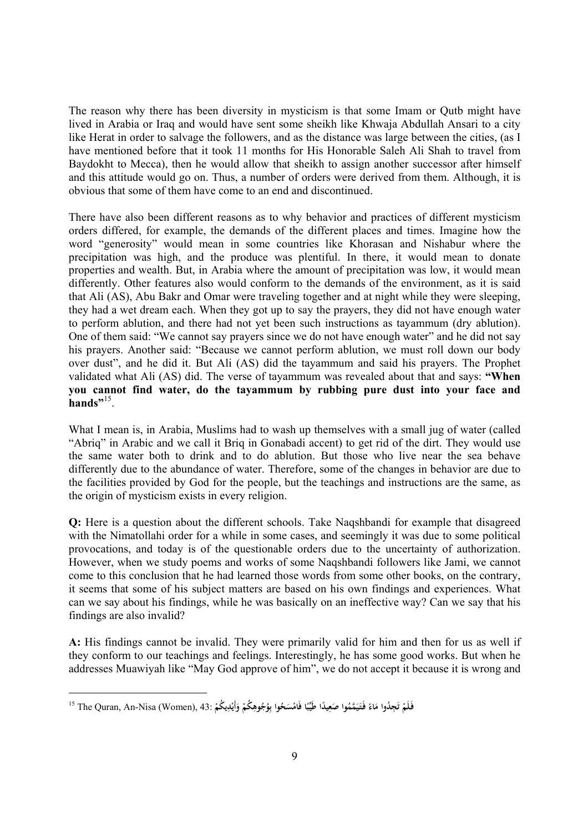The reason why there has been diversity in mysticism is that some Imam or Qutb might have lived in Arabia or Iraq and would have sent some sheikh like Khwaja Abdullah Ansari to a city like Herat in order to salvage the followers, and as the distance was large between the cities, (as I have mentioned before that it took 11 months for His Honorable Saleh Ali Shah to travel from Baydokht to Mecca), then he would allow that sheikh to assign another successor after himself and this attitude would go on. Thus, a number of orders were derived from them. Although, it is obvious that some of them have come to an end and discontinued.

There have also been different reasons as to why behavior and practices of different mysticism orders differed, for example, the demands of the different places and times. Imagine how the word "generosity" would mean in some countries like Khorasan and Nishabur where the precipitation was high, and the produce was plentiful. In there, it would mean to donate properties and wealth. But, in Arabia where the amount of precipitation was low, it would mean differently. Other features also would conform to the demands of the environment, as it is said that Ali (AS), Abu Bakr and Omar were traveling together and at night while they were sleeping, they had a wet dream each. When they got up to say the prayers, they did not have enough water to perform ablution, and there had not yet been such instructions as tayammum (dry ablution). One of them said: "We cannot say prayers since we do not have enough water" and he did not say his prayers. Another said: "Because we cannot perform ablution, we must roll down our body over dust", and he did it. But Ali (AS) did the tayammum and said his prayers. The Prophet validated what Ali (AS) did. The verse of tayammum was revealed about that and says: **"When you cannot find water, do the tayammum by rubbing pure dust into your face and hands**"<sup>15</sup>.

What I mean is, in Arabia, Muslims had to wash up themselves with a small jug of water (called "Abriq" in Arabic and we call it Briq in Gonabadi accent) to get rid of the dirt. They would use the same water both to drink and to do ablution. But those who live near the sea behave differently due to the abundance of water. Therefore, some of the changes in behavior are due to the facilities provided by God for the people, but the teachings and instructions are the same, as the origin of mysticism exists in every religion.

**Q:** Here is a question about the different schools. Take Nagshbandi for example that disagreed with the Nimatollahi order for a while in some cases, and seemingly it was due to some political provocations, and today is of the questionable orders due to the uncertainty of authorization. However, when we study poems and works of some Naqshbandi followers like Jami, we cannot come to this conclusion that he had learned those words from some other books, on the contrary, it seems that some of his subject matters are based on his own findings and experiences. What can we say about his findings, while he was basically on an ineffective way? Can we say that his findings are also invalid?

**A:** His findings cannot be invalid. They were primarily valid for him and then for us as well if they conform to our teachings and feelings. Interestingly, he has some good works. But when he addresses Muawiyah like "May God approve of him", we do not accept it because it is wrong and

فَلَمْ تَجِدُوا مَاءً فَتَيَمَّمُوا صَعِيدًا طَيِّبًا فَامْسَحُوا بِوُجُوهِكُمْ وَأَيْدِيكُمْ :43 The Quran, An-Nisa (Women), أ **ْ َ ت ً َ َ َ ً ِ ً ْ ِ ِ ب ْ َ**